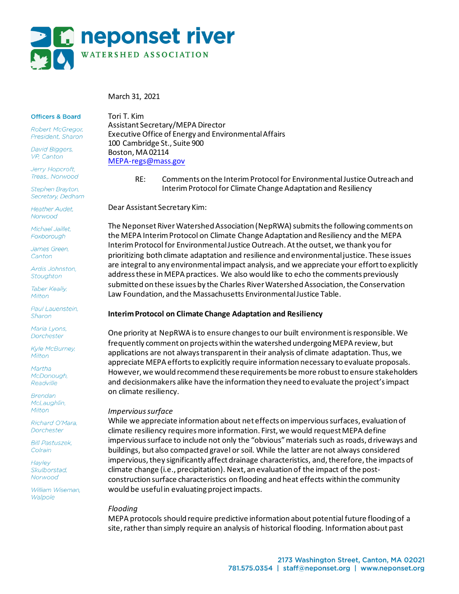

March 31, 2021

#### **Officers & Board**

Robert McGregor, President, Sharon

**David Biggers,** VP, Canton

Jerry Hopcroft, Treas,, Norwood

Stephen Brayton, Secretary, Dedham

Heather Audet Norwood

Michael Jaillet. Foxborough

James Green. Canton

Ardis Johnston, Stoughton

Taber Keally, Milton

Paul Lauenstein, Sharon

Maria Lyons, Dorchester

**Kyle McBurney,** Milton

Martha McDonough, Readville

**Brendan** McLaughlin, Milton

Richard O'Mara. Dorchester

**Bill Pastuszek,** Colrain

**Hayley Skulborstad** Norwood

William Wiseman. Walpole

Tori T. Kim Assistant Secretary/MEPA Director Executive Office of Energy and Environmental Affairs 100 Cambridge St., Suite 900 Boston, MA 02114 MEPA-regs@mass.gov

> RE: Comments on the Interim Protocol for Environmental Justice Outreach and Interim Protocol for Climate Change Adaptation and Resiliency

Dear Assistant Secretary Kim:

The Neponset River Watershed Association (NepRWA) submits the following comments on the MEPA Interim Protocol on Climate Change Adaptation and Resiliency and the MEPA Interim Protocol for Environmental Justice Outreach. At the outset, we thank you for prioritizing both climate adaptation and resilience and environmental justice. These issues are integral to any environmental impact analysis, and we appreciate your effort to explicitly address these in MEPA practices. We also would like to echo the comments previously submitted on these issues by the Charles River Watershed Association, the Conservation Law Foundation, and the Massachusetts Environmental Justice Table.

## **Interim Protocol on Climate Change Adaptation and Resiliency**

One priority at NepRWA is to ensure changes to our built environment is responsible. We frequently comment on projects within the watershed undergoing MEPA review, but applications are not always transparent in their analysis of climate adaptation. Thus, we appreciate MEPA efforts to explicitly require information necessary to evaluate proposals. However, we would recommend these requirements be more robust to ensure stakeholders and decisionmakers alike have the information they need to evaluate the project's impact on climate resiliency.

## *Impervious surface*

While we appreciate information about net effects on impervious surfaces, evaluation of climate resiliency requires more information. First, we would request MEPA define impervious surface to include not only the "obvious" materials such as roads, driveways and buildings, but also compacted gravel or soil. While the latter are not always considered impervious, they significantly affect drainage characteristics, and, therefore, the impacts of climate change (i.e., precipitation). Next, an evaluation of the impact of the postconstruction surface characteristics on flooding and heat effects within the community would be useful in evaluating project impacts.

## *Flooding*

MEPA protocols should require predictive information about potential future flooding of a site, rather than simply require an analysis of historical flooding. Information about past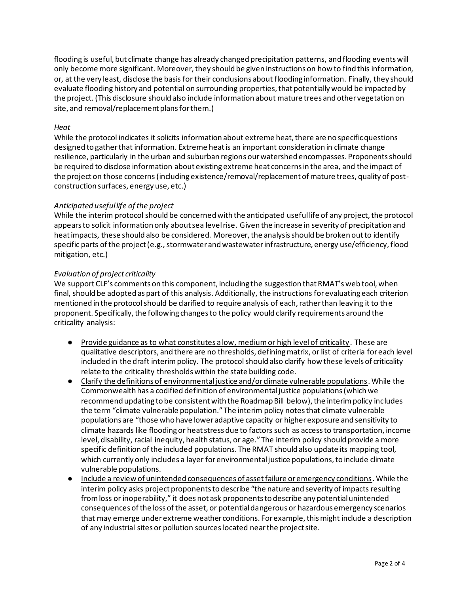flooding is useful, but climate change has already changed precipitation patterns, and flooding events will only become more significant. Moreover, they should be given instructions on how to find this information, or, at the very least, disclose the basis for their conclusions about flooding information. Finally, they should evaluate flooding history and potential on surrounding properties, that potentially would be impacted by the project. (This disclosure should also include information about mature trees and other vegetation on site, and removal/replacement plans for them.)

## *Heat*

While the protocol indicates it solicits information about extreme heat, there are no specific questions designed to gather that information. Extreme heat is an important consideration in climate change resilience, particularly in the urban and suburban regions our watershed encompasses. Proponents should be required to disclose information about existing extreme heat concerns in the area, and the impact of the project on those concerns(including existence/removal/replacement of mature trees, quality of postconstruction surfaces, energy use, etc.)

## *Anticipated useful life of the project*

While the interim protocol should be concerned with the anticipated useful life of any project, the protocol appears to solicit information only about sea level rise. Given the increase in severity of precipitation and heat impacts, these should also be considered. Moreover, the analysis should be broken out to identify specific parts of the project (e.g., stormwater and wastewater infrastructure, energy use/efficiency, flood mitigation, etc.)

## *Evaluation of project criticality*

We support CLF's comments on this component, including the suggestion that RMAT's web tool, when final, should be adopted as part of this analysis. Additionally, the instructions for evaluating each criterion mentioned in the protocol should be clarified to require analysis of each, rather than leaving it to the proponent. Specifically, the following changes to the policy would clarify requirements around the criticality analysis:

- Provide guidance as to what constitutes a low, medium or high level of criticality. These are qualitative descriptors, and there are no thresholds, defining matrix, or list of criteria for each level included in the draft interim policy. The protocol should also clarify how these levels of criticality relate to the criticality thresholds within the state building code.
- Clarify the definitions of environmental justice and/or climate vulnerable populations. While the Commonwealth has a codified definition of environmental justice populations (which we recommend updating to be consistent with the Roadmap Bill below), the interim policy includes the term "climate vulnerable population." The interim policy notes that climate vulnerable populations are "those who have lower adaptive capacity or higher exposure and sensitivity to climate hazards like flooding or heat stress due to factors such as access to transportation, income level, disability, racial inequity, health status, or age." The interim policy should provide a more specific definition of the included populations. The RMAT should also update its mapping tool, which currently only includes a layer for environmental justice populations, to include climate vulnerable populations.
- Include a review of unintended consequences of asset failure or emergency conditions. While the interim policy asks project proponents to describe "the nature and severity of impacts resulting from loss or inoperability," it does not ask proponents to describe any potential unintended consequences of the loss of the asset, or potential dangerous or hazardous emergency scenarios that may emerge under extreme weather conditions. For example, this might include a description of any industrial sites or pollution sources located near the project site.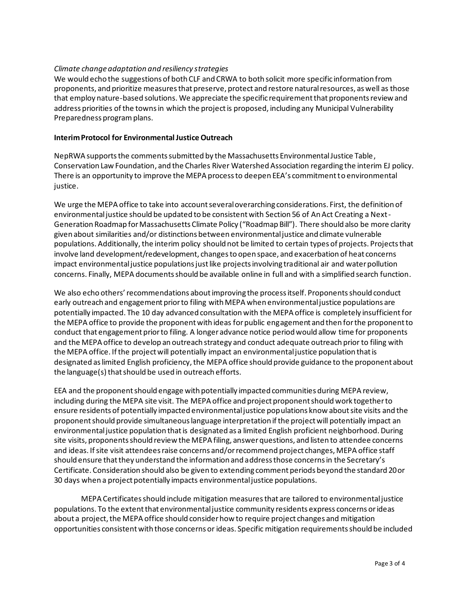# *Climate change adaptation and resiliency strategies*

We would echo the suggestions of both CLF and CRWA to both solicit more specific information from proponents, and prioritize measures that preserve, protect and restore natural resources, as well as those that employ nature-based solutions. We appreciate the specific requirement that proponents review and address priorities of the towns in which the project is proposed, including any Municipal Vulnerability Preparedness program plans.

#### **Interim Protocol for Environmental Justice Outreach**

NepRWA supports the comments submitted by the Massachusetts Environmental Justice Table, Conservation Law Foundation, and the Charles River Watershed Association regarding the interim EJ policy. There is an opportunity to improve the MEPA process to deepen EEA's commitment to environmental justice.

We urge the MEPA office to take into account several overarching considerations. First, the definition of environmental justice should be updated to be consistent with Section 56 of An Act Creating a Next-Generation Roadmap for Massachusetts Climate Policy ("Roadmap Bill"). There should also be more clarity given about similarities and/or distinctions between environmental justice and climate vulnerable populations. Additionally,the interim policy should not be limited to certain types of projects. Projects that involve land development/redevelopment, changes to open space, and exacerbation of heat concerns impact environmental justice populations just like projects involving traditional air and water pollution concerns. Finally, MEPA documents should be available online in full and with a simplified search function.

We also echo others' recommendations about improving the process itself. Proponents should conduct early outreach and engagement prior to filing with MEPA when environmental justice populations are potentially impacted. The 10 day advanced consultation with the MEPA office is completely insufficientfor the MEPA office to provide the proponent with ideas for public engagement and then for the proponent to conduct that engagement prior to filing. A longer advance notice period would allow time for proponents and the MEPA office to develop an outreach strategy and conduct adequate outreach prior to filing with the MEPA office. If the project will potentially impact an environmental justice population that is designated as limited English proficiency, the MEPA office should provide guidance to the proponent about the language(s) that should be used in outreach efforts.

EEA and the proponent should engage with potentially impacted communities during MEPA review, including during the MEPA site visit. The MEPA office and project proponent should work together to ensure residents of potentially impacted environmental justice populations know about site visits and the proponent should provide simultaneous language interpretation if the project will potentially impact an environmental justice population that is designated as a limited English proficient neighborhood. During site visits, proponents should review the MEPA filing, answer questions, and listen to attendee concerns and ideas. If site visit attendees raise concerns and/or recommend project changes, MEPA office staff should ensure that they understand the information and address those concerns in the Secretary's Certificate. Consideration should also be given to extending comment periods beyond the standard 20 or 30 days when a project potentially impacts environmental justice populations.

MEPA Certificates should include mitigation measures that are tailored to environmental justice populations. To the extent that environmental justice community residents express concerns or ideas about a project, the MEPA office should consider how to require project changes and mitigation opportunities consistent with those concerns or ideas. Specific mitigation requirements should be included